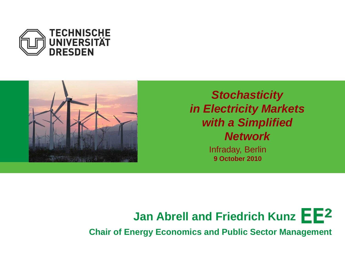



*Stochasticity in Electricity Markets with a Simplified Network*

> Infraday, Berlin **9 October 2010**



**Chair of Energy Economics and Public Sector Management**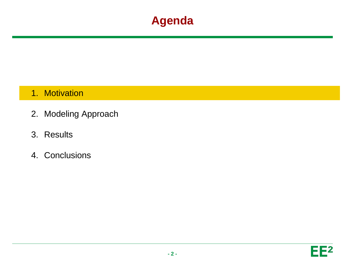#### **Agenda**

#### 1. Motivation

- 2. Modeling Approach
- 3. Results
- 4. Conclusions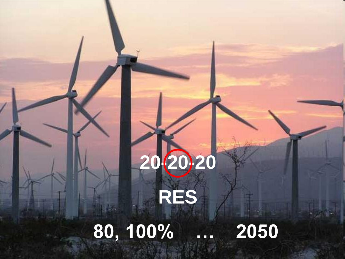# **20-20-20 RES**

# **80, 100% … 2050**

**- 3 -**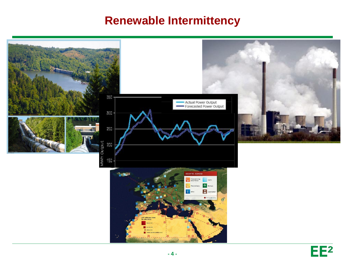#### **Renewable Intermittency**

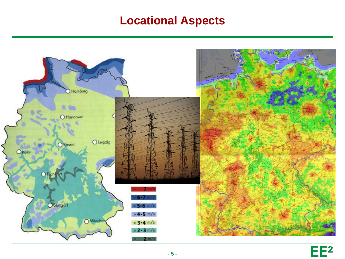#### **Locational Aspects**



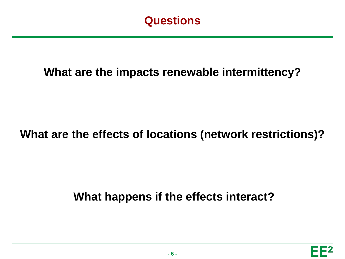

#### **What are the impacts renewable intermittency?**

#### **What are the effects of locations (network restrictions)?**

#### **What happens if the effects interact?**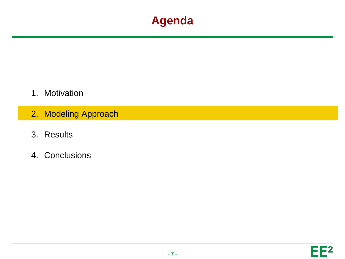#### **Agenda**

- 1. Motivation
- 2. Modeling Approach
- 3. Results
- 4. Conclusions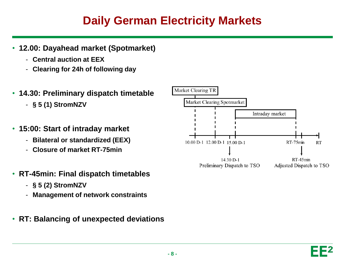#### **Daily German Electricity Markets**

- **12.00: Dayahead market (Spotmarket)**
	- **Central auction at EEX**
	- **Clearing for 24h of following day**
- **14.30: Preliminary dispatch timetable**
	- **§ 5 (1) StromNZV**
- **15:00: Start of intraday market**
	- **Bilateral or standardized (EEX)**
	- **Closure of market RT-75min**
- **RT-45min: Final dispatch timetables**
	- **§ 5 (2) StromNZV**
	- **Management of network constraints**
- **RT: Balancing of unexpected deviations**

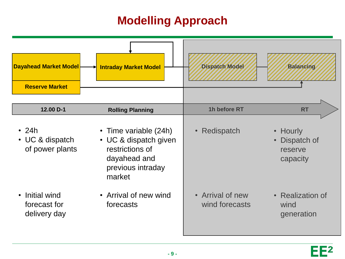## **Modelling Approach**

| <b>Dayahead Market Model</b><br><b>Reserve Market</b> | <b>Intraday Market Model</b>                                                                                     | <b>Dispatch Model</b>              | <b>Balancing</b>                               |
|-------------------------------------------------------|------------------------------------------------------------------------------------------------------------------|------------------------------------|------------------------------------------------|
| 12.00 D-1                                             | <b>Rolling Planning</b>                                                                                          | 1h before RT                       | <b>RT</b>                                      |
| $\cdot$ 24h<br>• UC & dispatch<br>of power plants     | • Time variable (24h)<br>• UC & dispatch given<br>restrictions of<br>dayahead and<br>previous intraday<br>market | • Redispatch                       | • Hourly<br>Dispatch of<br>reserve<br>capacity |
| Initial wind<br>forecast for<br>delivery day          | • Arrival of new wind<br>forecasts                                                                               | • Arrival of new<br>wind forecasts | • Realization of<br>wind<br>generation         |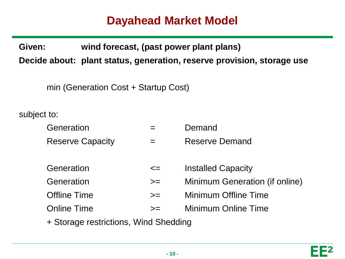#### **Dayahead Market Model**

**Given: wind forecast, (past power plant plans)**

**Decide about: plant status, generation, reserve provision, storage use**

min (Generation Cost + Startup Cost)

subject to:

| Generation              |        | Demand                         |
|-------------------------|--------|--------------------------------|
| <b>Reserve Capacity</b> |        | <b>Reserve Demand</b>          |
|                         |        |                                |
| Generation              | $\leq$ | <b>Installed Capacity</b>      |
| Generation              | $>=$   | Minimum Generation (if online) |
| <b>Offline Time</b>     | $>=$   | Minimum Offline Time           |
| <b>Online Time</b>      | $>=$   | Minimum Online Time            |
|                         |        |                                |

+ Storage restrictions, Wind Shedding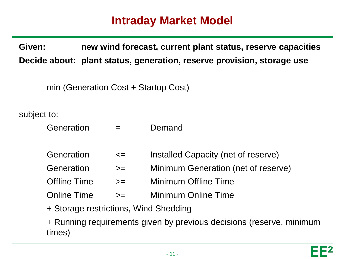#### **Intraday Market Model**

**Given: new wind forecast, current plant status, reserve capacities Decide about: plant status, generation, reserve provision, storage use**

min (Generation Cost + Startup Cost)

subject to:

| Generation          |        | Demand                              |
|---------------------|--------|-------------------------------------|
| Generation          | $\leq$ | Installed Capacity (net of reserve) |
| Generation          | $>=$   | Minimum Generation (net of reserve) |
| <b>Offline Time</b> | $>=$   | <b>Minimum Offline Time</b>         |
| <b>Online Time</b>  | $>=$   | Minimum Online Time                 |
|                     |        |                                     |

+ Storage restrictions, Wind Shedding

+ Running requirements given by previous decisions (reserve, minimum times)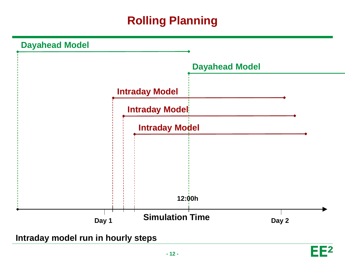# **Rolling Planning**



**Intraday model run in hourly steps**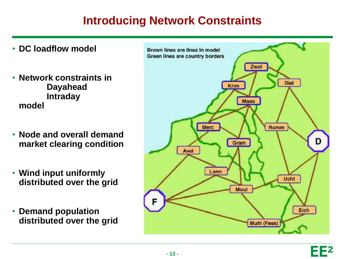#### **Introducing Network Constraints**

- **DC loadflow model**
- **Network constraints in Dayahead Intraday model**
- **Node and overall demand market clearing condition**
- **Wind input uniformly distributed over the grid**
- **Demand population distributed over the grid**

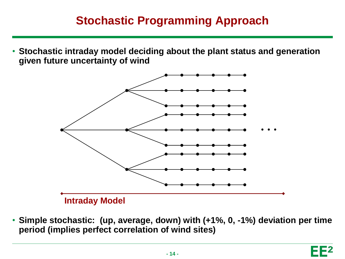#### **Stochastic Programming Approach**

• **Stochastic intraday model deciding about the plant status and generation given future uncertainty of wind**



• **Simple stochastic: (up, average, down) with (+1%, 0, -1%) deviation per time period (implies perfect correlation of wind sites)**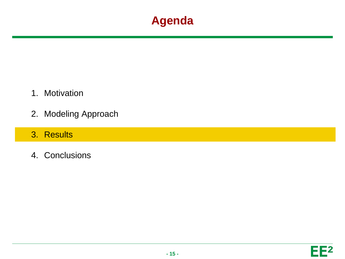#### **Agenda**

- 1. Motivation
- 2. Modeling Approach
- 3. Results
- 4. Conclusions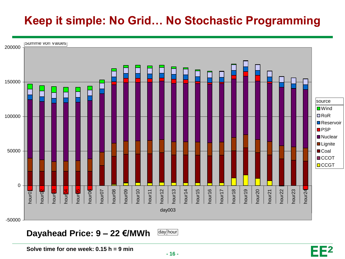## **Keep it simple: No Grid… No Stochastic Programming**



#### **Dayahead Price: 9 – 22 €/MWh**

day hour

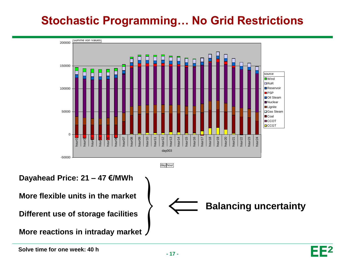## **Stochastic Programming… No Grid Restrictions**

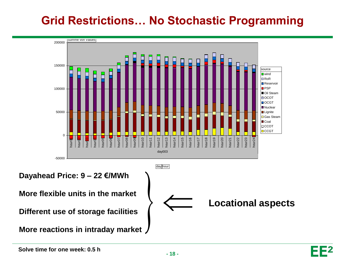## **Grid Restrictions… No Stochastic Programming**

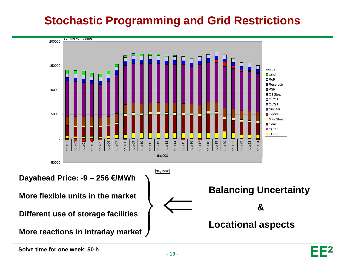## **Stochastic Programming and Grid Restrictions**

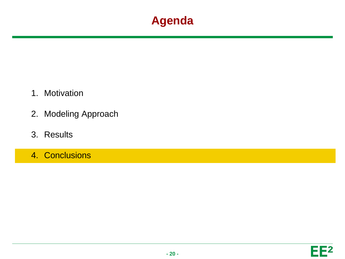#### **Agenda**

- 1. Motivation
- 2. Modeling Approach
- 3. Results
- 4. Conclusions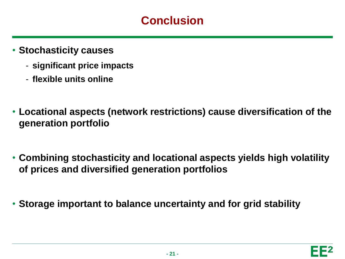#### **Conclusion**

- **Stochasticity causes**
	- **significant price impacts**
	- **flexible units online**
- **Locational aspects (network restrictions) cause diversification of the generation portfolio**
- **Combining stochasticity and locational aspects yields high volatility of prices and diversified generation portfolios**
- **Storage important to balance uncertainty and for grid stability**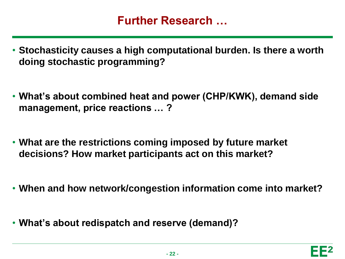#### **Further Research …**

- **Stochasticity causes a high computational burden. Is there a worth doing stochastic programming?**
- **What's about combined heat and power (CHP/KWK), demand side management, price reactions … ?**
- **What are the restrictions coming imposed by future market decisions? How market participants act on this market?**
- **When and how network/congestion information come into market?**
- **What's about redispatch and reserve (demand)?**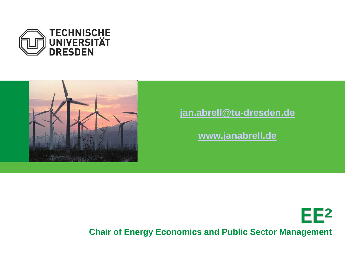



#### **[jan.abrell@tu-dresden.de](mailto:jan.abrell@tu-dresden.de)**

**[www.janabrell.de](http://www.janabrell.de/)**



**Chair of Energy Economics and Public Sector Management**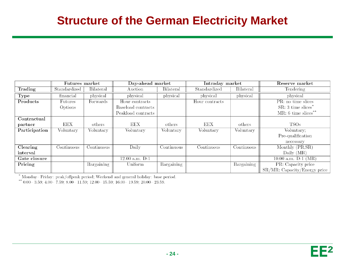#### **Structure of the German Electricity Market**

|               | Futures market |                  | Day-ahead market   |                  | Intraday market |                  | Reserve market                  |
|---------------|----------------|------------------|--------------------|------------------|-----------------|------------------|---------------------------------|
| Trading       | Standardized   | <b>Bilateral</b> | Auction            | <b>Bilateral</b> | Standardized    | <b>Bilateral</b> | Tendering                       |
| <b>Type</b>   | financial      | physical         | physical           | physical         | physical        | physical         | physical                        |
| Products      | Futures        | Forwards         | Hour contracts     |                  | Hour contracts  |                  | PR: no time slices              |
|               | Options        |                  | Baseload contracts |                  |                 |                  | $SR: 3 \times s$                |
|               |                |                  | Peakload contracts |                  |                 |                  | $MR: 6 \times s$                |
| Contractual   |                |                  |                    |                  |                 |                  |                                 |
| partner       | EEX            | others           | EEX                | others           | EEX             | others           | <b>TSOs</b>                     |
| Participation | Voluntary      | Voluntary        | Voluntary          | Voluntary        | Voluntary       | Voluntary        | Voluntary:                      |
|               |                |                  |                    |                  |                 |                  | Pre-qualification               |
|               |                |                  |                    |                  |                 |                  | necessary                       |
| Clearing      | Continuous     | Continuous       | Daily              | Continuous       | Continuous      | Continuous       | Monthly (PR, SR)                |
| interval      |                |                  |                    |                  |                 |                  | Daily $(MR)$                    |
| Gate closure  |                |                  | $12.00$ a.m. $D-1$ |                  |                 |                  | 10.00 a.m. $D-1$ $(MR)$         |
| Pricing       |                | Bargaining       | Uniform            | Bargaining       |                 | Bargaining       | PR: Capacity price              |
|               |                |                  |                    |                  |                 |                  | $SR/MR$ : Capacity/Energy price |

\* Monday– Friday: peak/offpeak period; Weekend and general holiday: base period.<br>\*\* 0.00– 3.59; 4.00– 7.59; 8.00– 11.59; 12.00– 15.59; 16.00– 19.59; 20.00– 23.59.